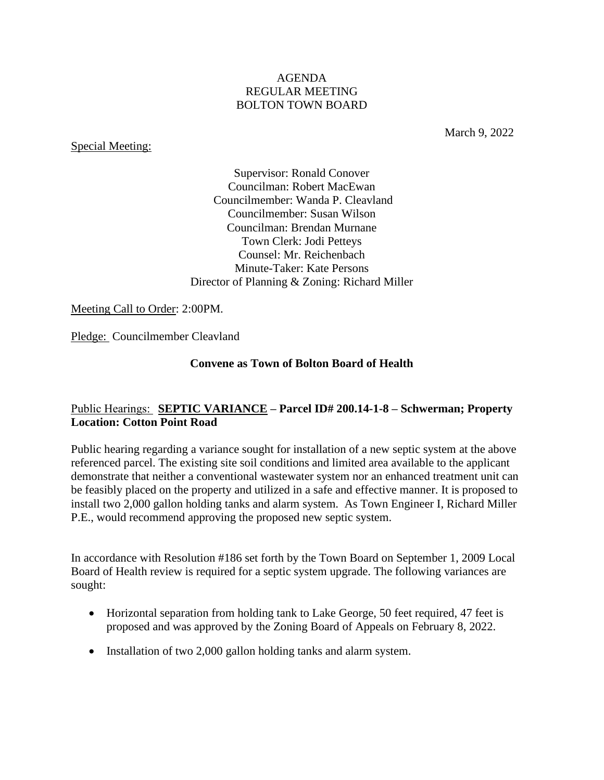## AGENDA REGULAR MEETING BOLTON TOWN BOARD

### Special Meeting:

March 9, 2022

Supervisor: Ronald Conover Councilman: Robert MacEwan Councilmember: Wanda P. Cleavland Councilmember: Susan Wilson Councilman: Brendan Murnane Town Clerk: Jodi Petteys Counsel: Mr. Reichenbach Minute-Taker: Kate Persons Director of Planning & Zoning: Richard Miller

Meeting Call to Order: 2:00PM.

Pledge: Councilmember Cleavland

# **Convene as Town of Bolton Board of Health**

# Public Hearings: **SEPTIC VARIANCE – Parcel ID# 200.14-1-8 – Schwerman; Property Location: Cotton Point Road**

Public hearing regarding a variance sought for installation of a new septic system at the above referenced parcel. The existing site soil conditions and limited area available to the applicant demonstrate that neither a conventional wastewater system nor an enhanced treatment unit can be feasibly placed on the property and utilized in a safe and effective manner. It is proposed to install two 2,000 gallon holding tanks and alarm system. As Town Engineer I, Richard Miller P.E., would recommend approving the proposed new septic system.

In accordance with Resolution #186 set forth by the Town Board on September 1, 2009 Local Board of Health review is required for a septic system upgrade. The following variances are sought:

- Horizontal separation from holding tank to Lake George, 50 feet required, 47 feet is proposed and was approved by the Zoning Board of Appeals on February 8, 2022.
- Installation of two 2,000 gallon holding tanks and alarm system.